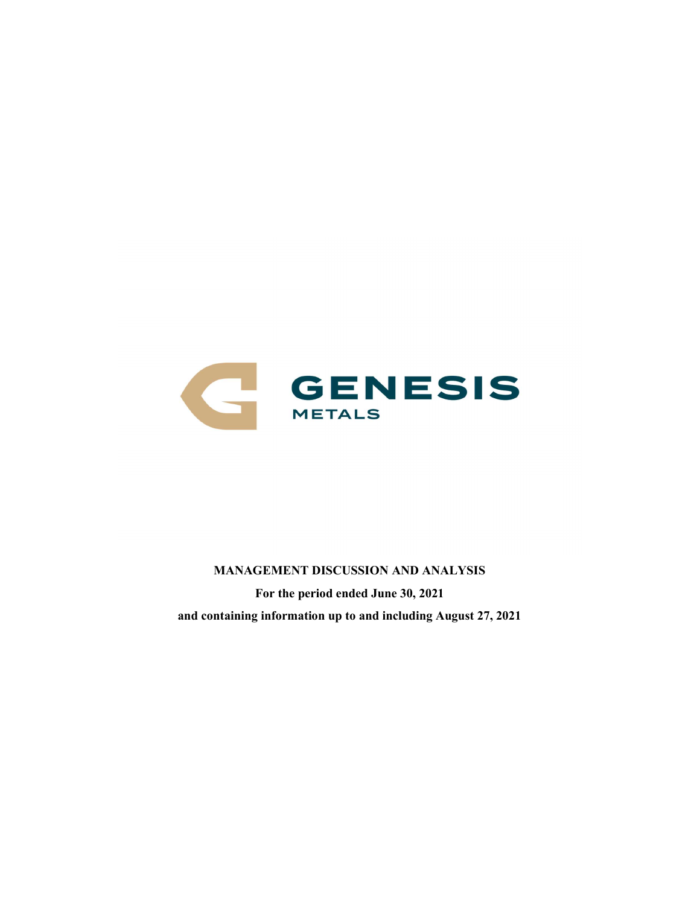

MANAGEMENT DISCUSSION AND ANALYSIS For the period ended June 30, 2021 and containing information up to and including August 27, 2021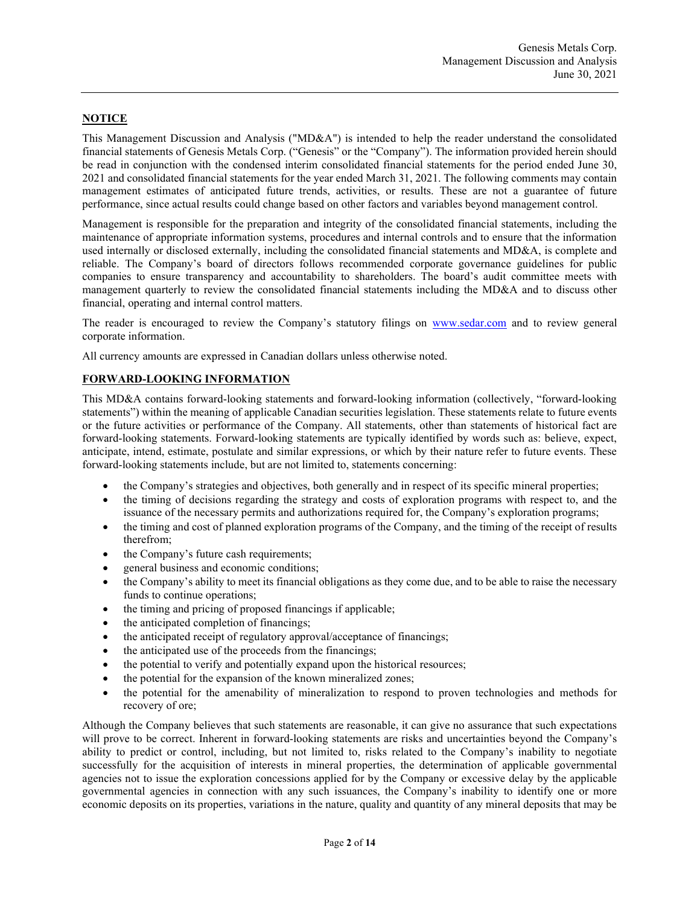# **NOTICE**

This Management Discussion and Analysis ("MD&A") is intended to help the reader understand the consolidated financial statements of Genesis Metals Corp. ("Genesis" or the "Company"). The information provided herein should be read in conjunction with the condensed interim consolidated financial statements for the period ended June 30, 2021 and consolidated financial statements for the year ended March 31, 2021. The following comments may contain management estimates of anticipated future trends, activities, or results. These are not a guarantee of future performance, since actual results could change based on other factors and variables beyond management control.

Management is responsible for the preparation and integrity of the consolidated financial statements, including the maintenance of appropriate information systems, procedures and internal controls and to ensure that the information used internally or disclosed externally, including the consolidated financial statements and MD&A, is complete and reliable. The Company's board of directors follows recommended corporate governance guidelines for public companies to ensure transparency and accountability to shareholders. The board's audit committee meets with management quarterly to review the consolidated financial statements including the MD&A and to discuss other financial, operating and internal control matters.

The reader is encouraged to review the Company's statutory filings on www.sedar.com and to review general corporate information.

All currency amounts are expressed in Canadian dollars unless otherwise noted.

## FORWARD-LOOKING INFORMATION

This MD&A contains forward-looking statements and forward-looking information (collectively, "forward-looking statements") within the meaning of applicable Canadian securities legislation. These statements relate to future events or the future activities or performance of the Company. All statements, other than statements of historical fact are forward-looking statements. Forward-looking statements are typically identified by words such as: believe, expect, anticipate, intend, estimate, postulate and similar expressions, or which by their nature refer to future events. These forward-looking statements include, but are not limited to, statements concerning:

- the Company's strategies and objectives, both generally and in respect of its specific mineral properties;
- the timing of decisions regarding the strategy and costs of exploration programs with respect to, and the issuance of the necessary permits and authorizations required for, the Company's exploration programs;
- the timing and cost of planned exploration programs of the Company, and the timing of the receipt of results therefrom;
- the Company's future cash requirements;
- general business and economic conditions;
- the Company's ability to meet its financial obligations as they come due, and to be able to raise the necessary funds to continue operations;
- the timing and pricing of proposed financings if applicable;
- the anticipated completion of financings;
- the anticipated receipt of regulatory approval/acceptance of financings;
- the anticipated use of the proceeds from the financings;
- the potential to verify and potentially expand upon the historical resources;
- the potential for the expansion of the known mineralized zones;
- the potential for the amenability of mineralization to respond to proven technologies and methods for recovery of ore;

Although the Company believes that such statements are reasonable, it can give no assurance that such expectations will prove to be correct. Inherent in forward-looking statements are risks and uncertainties beyond the Company's ability to predict or control, including, but not limited to, risks related to the Company's inability to negotiate successfully for the acquisition of interests in mineral properties, the determination of applicable governmental agencies not to issue the exploration concessions applied for by the Company or excessive delay by the applicable governmental agencies in connection with any such issuances, the Company's inability to identify one or more economic deposits on its properties, variations in the nature, quality and quantity of any mineral deposits that may be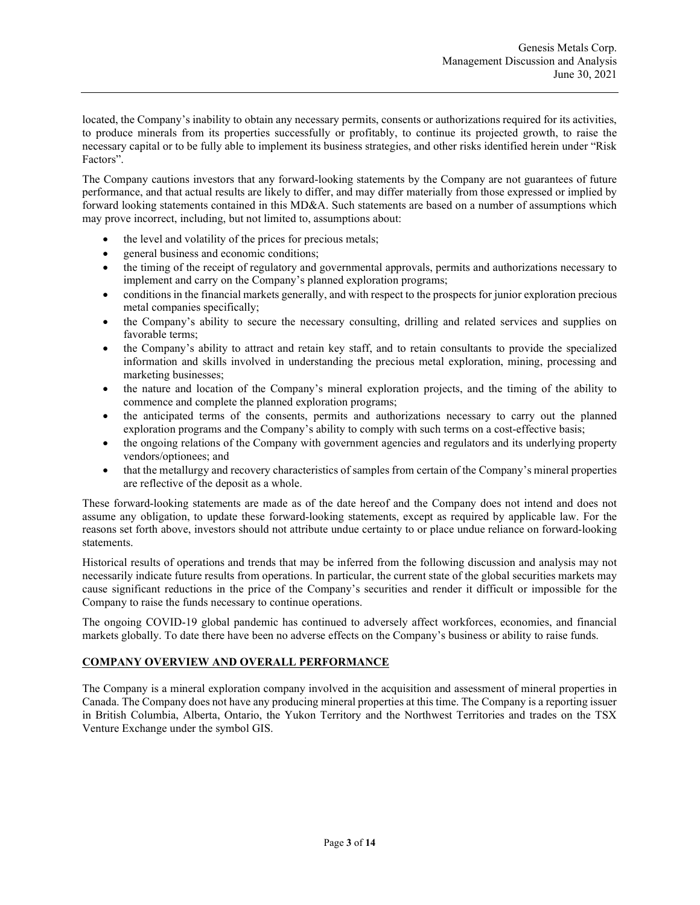located, the Company's inability to obtain any necessary permits, consents or authorizations required for its activities, to produce minerals from its properties successfully or profitably, to continue its projected growth, to raise the necessary capital or to be fully able to implement its business strategies, and other risks identified herein under "Risk Factors".

The Company cautions investors that any forward-looking statements by the Company are not guarantees of future performance, and that actual results are likely to differ, and may differ materially from those expressed or implied by forward looking statements contained in this MD&A. Such statements are based on a number of assumptions which may prove incorrect, including, but not limited to, assumptions about:

- the level and volatility of the prices for precious metals;
- general business and economic conditions;
- the timing of the receipt of regulatory and governmental approvals, permits and authorizations necessary to implement and carry on the Company's planned exploration programs;
- conditions in the financial markets generally, and with respect to the prospects for junior exploration precious metal companies specifically;
- the Company's ability to secure the necessary consulting, drilling and related services and supplies on favorable terms;
- the Company's ability to attract and retain key staff, and to retain consultants to provide the specialized information and skills involved in understanding the precious metal exploration, mining, processing and marketing businesses;
- the nature and location of the Company's mineral exploration projects, and the timing of the ability to commence and complete the planned exploration programs;
- the anticipated terms of the consents, permits and authorizations necessary to carry out the planned exploration programs and the Company's ability to comply with such terms on a cost-effective basis;
- the ongoing relations of the Company with government agencies and regulators and its underlying property vendors/optionees; and
- that the metallurgy and recovery characteristics of samples from certain of the Company's mineral properties are reflective of the deposit as a whole.

These forward-looking statements are made as of the date hereof and the Company does not intend and does not assume any obligation, to update these forward-looking statements, except as required by applicable law. For the reasons set forth above, investors should not attribute undue certainty to or place undue reliance on forward-looking statements.

Historical results of operations and trends that may be inferred from the following discussion and analysis may not necessarily indicate future results from operations. In particular, the current state of the global securities markets may cause significant reductions in the price of the Company's securities and render it difficult or impossible for the Company to raise the funds necessary to continue operations.

The ongoing COVID-19 global pandemic has continued to adversely affect workforces, economies, and financial markets globally. To date there have been no adverse effects on the Company's business or ability to raise funds.

### COMPANY OVERVIEW AND OVERALL PERFORMANCE

The Company is a mineral exploration company involved in the acquisition and assessment of mineral properties in Canada. The Company does not have any producing mineral properties at this time. The Company is a reporting issuer in British Columbia, Alberta, Ontario, the Yukon Territory and the Northwest Territories and trades on the TSX Venture Exchange under the symbol GIS.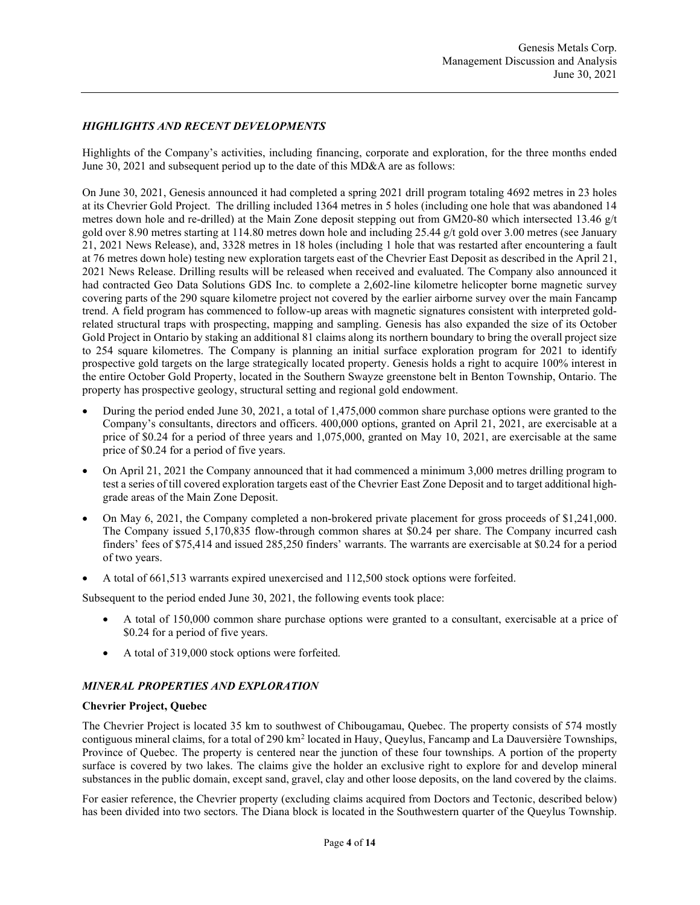# HIGHLIGHTS AND RECENT DEVELOPMENTS

Highlights of the Company's activities, including financing, corporate and exploration, for the three months ended June 30, 2021 and subsequent period up to the date of this MD&A are as follows:

On June 30, 2021, Genesis announced it had completed a spring 2021 drill program totaling 4692 metres in 23 holes at its Chevrier Gold Project. The drilling included 1364 metres in 5 holes (including one hole that was abandoned 14 metres down hole and re-drilled) at the Main Zone deposit stepping out from GM20-80 which intersected 13.46 g/t gold over 8.90 metres starting at 114.80 metres down hole and including 25.44 g/t gold over 3.00 metres (see January 21, 2021 News Release), and, 3328 metres in 18 holes (including 1 hole that was restarted after encountering a fault at 76 metres down hole) testing new exploration targets east of the Chevrier East Deposit as described in the April 21, 2021 News Release. Drilling results will be released when received and evaluated. The Company also announced it had contracted Geo Data Solutions GDS Inc. to complete a 2,602-line kilometre helicopter borne magnetic survey covering parts of the 290 square kilometre project not covered by the earlier airborne survey over the main Fancamp trend. A field program has commenced to follow-up areas with magnetic signatures consistent with interpreted goldrelated structural traps with prospecting, mapping and sampling. Genesis has also expanded the size of its October Gold Project in Ontario by staking an additional 81 claims along its northern boundary to bring the overall project size to 254 square kilometres. The Company is planning an initial surface exploration program for 2021 to identify prospective gold targets on the large strategically located property. Genesis holds a right to acquire 100% interest in the entire October Gold Property, located in the Southern Swayze greenstone belt in Benton Township, Ontario. The property has prospective geology, structural setting and regional gold endowment.

- During the period ended June 30, 2021, a total of 1,475,000 common share purchase options were granted to the Company's consultants, directors and officers. 400,000 options, granted on April 21, 2021, are exercisable at a price of \$0.24 for a period of three years and 1,075,000, granted on May 10, 2021, are exercisable at the same price of \$0.24 for a period of five years.
- On April 21, 2021 the Company announced that it had commenced a minimum 3,000 metres drilling program to test a series of till covered exploration targets east of the Chevrier East Zone Deposit and to target additional highgrade areas of the Main Zone Deposit.
- On May 6, 2021, the Company completed a non-brokered private placement for gross proceeds of \$1,241,000. The Company issued 5,170,835 flow-through common shares at \$0.24 per share. The Company incurred cash finders' fees of \$75,414 and issued 285,250 finders' warrants. The warrants are exercisable at \$0.24 for a period of two years.
- A total of 661,513 warrants expired unexercised and 112,500 stock options were forfeited.

Subsequent to the period ended June 30, 2021, the following events took place:

- A total of 150,000 common share purchase options were granted to a consultant, exercisable at a price of \$0.24 for a period of five years.
- A total of 319,000 stock options were forfeited.

# MINERAL PROPERTIES AND EXPLORATION

### Chevrier Project, Quebec

The Chevrier Project is located 35 km to southwest of Chibougamau, Quebec. The property consists of 574 mostly contiguous mineral claims, for a total of 290 km<sup>2</sup> located in Hauy, Queylus, Fancamp and La Dauversière Townships, Province of Quebec. The property is centered near the junction of these four townships. A portion of the property surface is covered by two lakes. The claims give the holder an exclusive right to explore for and develop mineral substances in the public domain, except sand, gravel, clay and other loose deposits, on the land covered by the claims.

For easier reference, the Chevrier property (excluding claims acquired from Doctors and Tectonic, described below) has been divided into two sectors. The Diana block is located in the Southwestern quarter of the Queylus Township.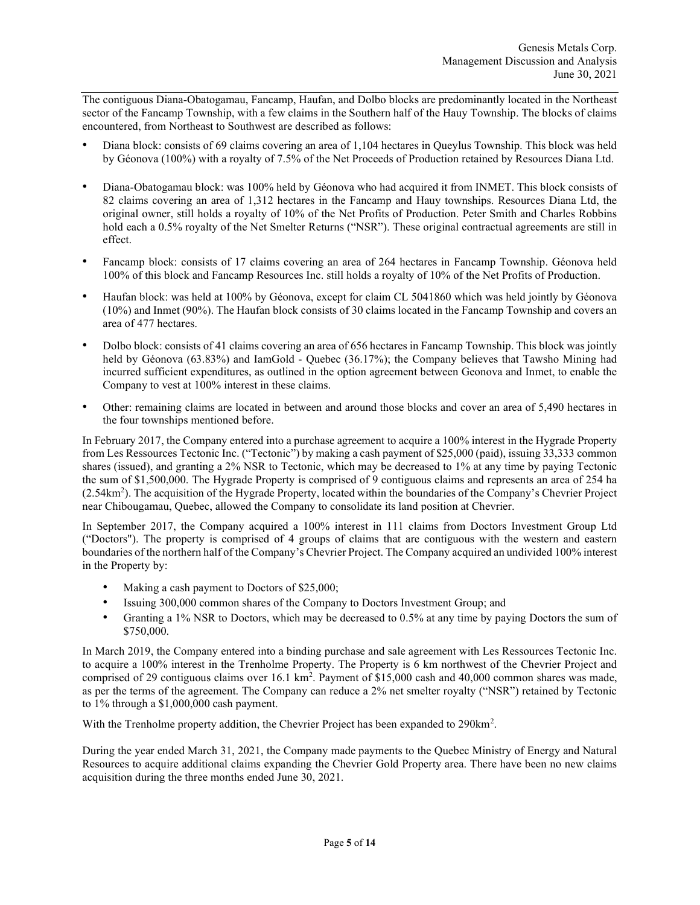The contiguous Diana-Obatogamau, Fancamp, Haufan, and Dolbo blocks are predominantly located in the Northeast sector of the Fancamp Township, with a few claims in the Southern half of the Hauy Township. The blocks of claims encountered, from Northeast to Southwest are described as follows:

- Diana block: consists of 69 claims covering an area of 1,104 hectares in Queylus Township. This block was held by Géonova (100%) with a royalty of 7.5% of the Net Proceeds of Production retained by Resources Diana Ltd.
- Diana-Obatogamau block: was 100% held by Géonova who had acquired it from INMET. This block consists of 82 claims covering an area of 1,312 hectares in the Fancamp and Hauy townships. Resources Diana Ltd, the original owner, still holds a royalty of 10% of the Net Profits of Production. Peter Smith and Charles Robbins hold each a 0.5% royalty of the Net Smelter Returns ("NSR"). These original contractual agreements are still in effect.
- Fancamp block: consists of 17 claims covering an area of 264 hectares in Fancamp Township. Géonova held 100% of this block and Fancamp Resources Inc. still holds a royalty of 10% of the Net Profits of Production.
- Haufan block: was held at 100% by Géonova, except for claim CL 5041860 which was held jointly by Géonova (10%) and Inmet (90%). The Haufan block consists of 30 claims located in the Fancamp Township and covers an area of 477 hectares.
- Dolbo block: consists of 41 claims covering an area of 656 hectares in Fancamp Township. This block was jointly held by Géonova (63.83%) and IamGold - Quebec (36.17%); the Company believes that Tawsho Mining had incurred sufficient expenditures, as outlined in the option agreement between Geonova and Inmet, to enable the Company to vest at 100% interest in these claims.
- Other: remaining claims are located in between and around those blocks and cover an area of 5,490 hectares in the four townships mentioned before.

In February 2017, the Company entered into a purchase agreement to acquire a 100% interest in the Hygrade Property from Les Ressources Tectonic Inc. ("Tectonic") by making a cash payment of \$25,000 (paid), issuing 33,333 common shares (issued), and granting a 2% NSR to Tectonic, which may be decreased to 1% at any time by paying Tectonic the sum of \$1,500,000. The Hygrade Property is comprised of 9 contiguous claims and represents an area of 254 ha (2.54km<sup>2</sup> ). The acquisition of the Hygrade Property, located within the boundaries of the Company's Chevrier Project near Chibougamau, Quebec, allowed the Company to consolidate its land position at Chevrier.

In September 2017, the Company acquired a 100% interest in 111 claims from Doctors Investment Group Ltd ("Doctors"). The property is comprised of 4 groups of claims that are contiguous with the western and eastern boundaries of the northern half of the Company's Chevrier Project. The Company acquired an undivided 100% interest in the Property by:

- Making a cash payment to Doctors of \$25,000;
- Issuing 300,000 common shares of the Company to Doctors Investment Group; and
- Granting a 1% NSR to Doctors, which may be decreased to 0.5% at any time by paying Doctors the sum of \$750,000.

In March 2019, the Company entered into a binding purchase and sale agreement with Les Ressources Tectonic Inc. to acquire a 100% interest in the Trenholme Property. The Property is 6 km northwest of the Chevrier Project and comprised of 29 contiguous claims over 16.1 km<sup>2</sup>. Payment of \$15,000 cash and 40,000 common shares was made, as per the terms of the agreement. The Company can reduce a 2% net smelter royalty ("NSR") retained by Tectonic to 1% through a \$1,000,000 cash payment.

With the Trenholme property addition, the Chevrier Project has been expanded to 290km<sup>2</sup>.

During the year ended March 31, 2021, the Company made payments to the Quebec Ministry of Energy and Natural Resources to acquire additional claims expanding the Chevrier Gold Property area. There have been no new claims acquisition during the three months ended June 30, 2021.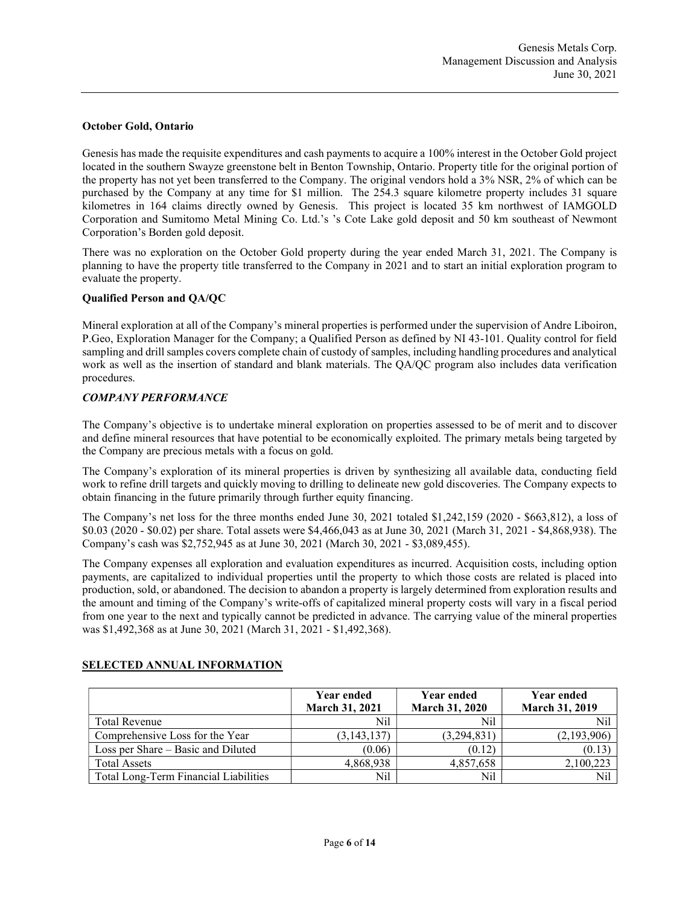### October Gold, Ontario

Genesis has made the requisite expenditures and cash payments to acquire a 100% interest in the October Gold project located in the southern Swayze greenstone belt in Benton Township, Ontario. Property title for the original portion of the property has not yet been transferred to the Company. The original vendors hold a 3% NSR, 2% of which can be purchased by the Company at any time for \$1 million. The 254.3 square kilometre property includes 31 square kilometres in 164 claims directly owned by Genesis. This project is located 35 km northwest of IAMGOLD Corporation and Sumitomo Metal Mining Co. Ltd.'s 's Cote Lake gold deposit and 50 km southeast of Newmont Corporation's Borden gold deposit.

There was no exploration on the October Gold property during the year ended March 31, 2021. The Company is planning to have the property title transferred to the Company in 2021 and to start an initial exploration program to evaluate the property.

### Qualified Person and QA/QC

Mineral exploration at all of the Company's mineral properties is performed under the supervision of Andre Liboiron, P.Geo, Exploration Manager for the Company; a Qualified Person as defined by NI 43-101. Quality control for field sampling and drill samples covers complete chain of custody of samples, including handling procedures and analytical work as well as the insertion of standard and blank materials. The QA/QC program also includes data verification procedures.

#### COMPANY PERFORMANCE

The Company's objective is to undertake mineral exploration on properties assessed to be of merit and to discover and define mineral resources that have potential to be economically exploited. The primary metals being targeted by the Company are precious metals with a focus on gold.

The Company's exploration of its mineral properties is driven by synthesizing all available data, conducting field work to refine drill targets and quickly moving to drilling to delineate new gold discoveries. The Company expects to obtain financing in the future primarily through further equity financing.

The Company's net loss for the three months ended June 30, 2021 totaled \$1,242,159 (2020 - \$663,812), a loss of \$0.03 (2020 - \$0.02) per share. Total assets were \$4,466,043 as at June 30, 2021 (March 31, 2021 - \$4,868,938). The Company's cash was \$2,752,945 as at June 30, 2021 (March 30, 2021 - \$3,089,455).

The Company expenses all exploration and evaluation expenditures as incurred. Acquisition costs, including option payments, are capitalized to individual properties until the property to which those costs are related is placed into production, sold, or abandoned. The decision to abandon a property is largely determined from exploration results and the amount and timing of the Company's write-offs of capitalized mineral property costs will vary in a fiscal period from one year to the next and typically cannot be predicted in advance. The carrying value of the mineral properties was \$1,492,368 as at June 30, 2021 (March 31, 2021 - \$1,492,368).

|                                       | Year ended<br><b>March 31, 2021</b> | <b>Year ended</b><br><b>March 31, 2020</b> | <b>Year ended</b><br><b>March 31, 2019</b> |
|---------------------------------------|-------------------------------------|--------------------------------------------|--------------------------------------------|
| Total Revenue                         | Nil                                 | Nil                                        | Nil                                        |
| Comprehensive Loss for the Year       | (3, 143, 137)                       | (3,294,831)                                | (2,193,906)                                |
| Loss per Share – Basic and Diluted    | (0.06)                              | (0.12)                                     | (0.13)                                     |
| <b>Total Assets</b>                   | 4,868,938                           | 4,857,658                                  | 2,100,223                                  |
| Total Long-Term Financial Liabilities | Nil                                 | Nil                                        | Nil                                        |

### SELECTED ANNUAL INFORMATION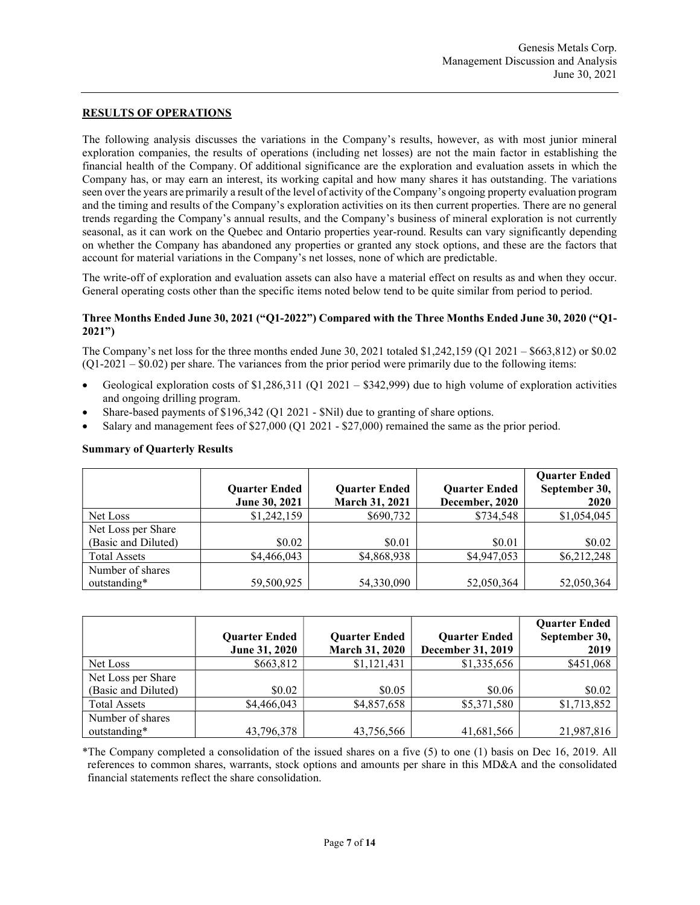# RESULTS OF OPERATIONS

The following analysis discusses the variations in the Company's results, however, as with most junior mineral exploration companies, the results of operations (including net losses) are not the main factor in establishing the financial health of the Company. Of additional significance are the exploration and evaluation assets in which the Company has, or may earn an interest, its working capital and how many shares it has outstanding. The variations seen over the years are primarily a result of the level of activity of the Company's ongoing property evaluation program and the timing and results of the Company's exploration activities on its then current properties. There are no general trends regarding the Company's annual results, and the Company's business of mineral exploration is not currently seasonal, as it can work on the Quebec and Ontario properties year-round. Results can vary significantly depending on whether the Company has abandoned any properties or granted any stock options, and these are the factors that account for material variations in the Company's net losses, none of which are predictable.

The write-off of exploration and evaluation assets can also have a material effect on results as and when they occur. General operating costs other than the specific items noted below tend to be quite similar from period to period.

#### Three Months Ended June 30, 2021 ("Q1-2022") Compared with the Three Months Ended June 30, 2020 ("Q1- 2021")

The Company's net loss for the three months ended June 30, 2021 totaled \$1,242,159 (Q1 2021 – \$663,812) or \$0.02  $(Q1-2021 - $0.02)$  per share. The variances from the prior period were primarily due to the following items:

- Geological exploration costs of \$1,286,311 (Q1 2021 \$342,999) due to high volume of exploration activities and ongoing drilling program.
- Share-based payments of \$196,342 (Q1 2021 \$Nil) due to granting of share options.
- Salary and management fees of \$27,000 (Q1 2021 \$27,000) remained the same as the prior period.

#### Summary of Quarterly Results

|                     |                      |                      |                      | <b>Quarter Ended</b> |
|---------------------|----------------------|----------------------|----------------------|----------------------|
|                     | <b>Quarter Ended</b> | <b>Quarter Ended</b> | <b>Quarter Ended</b> | September 30,        |
|                     | June 30, 2021        | March 31, 2021       | December, 2020       | 2020                 |
| Net Loss            | \$1,242,159          | \$690,732            | \$734,548            | \$1,054,045          |
| Net Loss per Share  |                      |                      |                      |                      |
| (Basic and Diluted) | \$0.02               | \$0.01               | \$0.01               | \$0.02               |
| <b>Total Assets</b> | \$4,466,043          | \$4,868,938          | \$4,947,053          | \$6,212,248          |
| Number of shares    |                      |                      |                      |                      |
| outstanding*        | 59,500,925           | 54,330,090           | 52,050,364           | 52,050,364           |

|                     | <b>Quarter Ended</b> | <b>Quarter Ended</b> | <b>Quarter Ended</b>     | <b>Quarter Ended</b><br>September 30, |
|---------------------|----------------------|----------------------|--------------------------|---------------------------------------|
|                     | June 31, 2020        | March 31, 2020       | <b>December 31, 2019</b> | 2019                                  |
| Net Loss            | \$663,812            | \$1,121,431          | \$1,335,656              | \$451,068                             |
| Net Loss per Share  |                      |                      |                          |                                       |
| (Basic and Diluted) | \$0.02               | \$0.05               | \$0.06                   | \$0.02                                |
| <b>Total Assets</b> | \$4,466,043          | \$4,857,658          | \$5,371,580              | \$1,713,852                           |
| Number of shares    |                      |                      |                          |                                       |
| outstanding*        | 43,796,378           | 43,756,566           | 41,681,566               | 21,987,816                            |

\*The Company completed a consolidation of the issued shares on a five (5) to one (1) basis on Dec 16, 2019. All references to common shares, warrants, stock options and amounts per share in this MD&A and the consolidated financial statements reflect the share consolidation.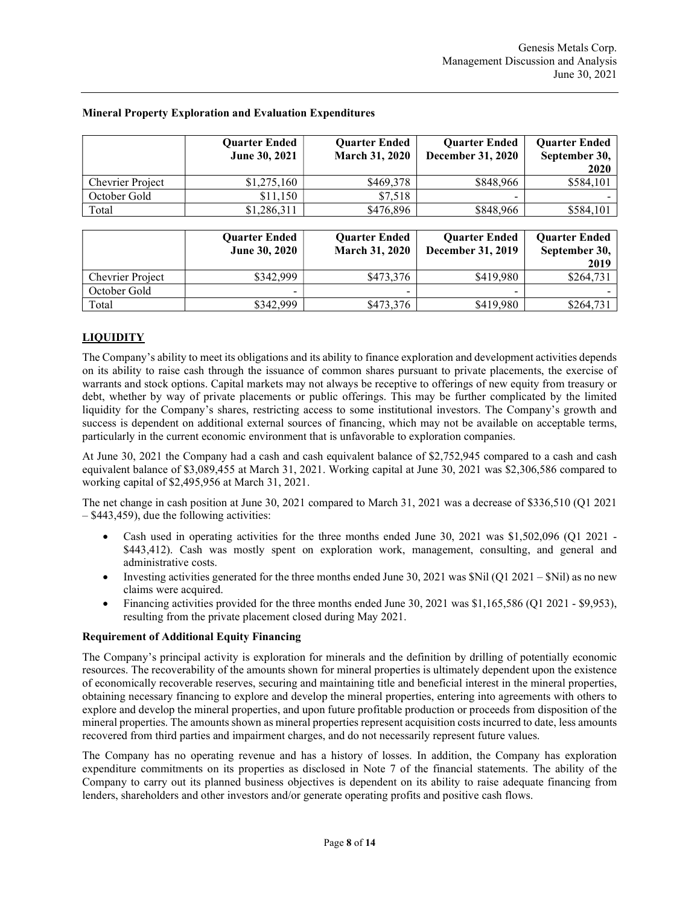|                         | <b>Ouarter Ended</b><br>June 30, 2021 | <b>Quarter Ended</b><br>March 31, 2020        | <b>Quarter Ended</b><br>December 31, 2020 | <b>Quarter Ended</b><br>September 30,         |
|-------------------------|---------------------------------------|-----------------------------------------------|-------------------------------------------|-----------------------------------------------|
|                         |                                       |                                               |                                           | 2020                                          |
| <b>Chevrier Project</b> | \$1,275,160                           | \$469,378                                     | \$848,966                                 | \$584,101                                     |
| October Gold            | \$11,150                              | \$7,518                                       |                                           |                                               |
| Total                   | \$1,286,311                           | \$476,896                                     | \$848,966                                 | \$584,101                                     |
|                         |                                       |                                               |                                           |                                               |
|                         | <b>Quarter Ended</b><br>June 30, 2020 | <b>Quarter Ended</b><br><b>March 31, 2020</b> | <b>Quarter Ended</b><br>December 31, 2019 | <b>Quarter Ended</b><br>September 30,<br>2019 |
| Chevrier Project        | \$342,999                             | \$473,376                                     | \$419,980                                 | \$264,731                                     |
| October Gold            |                                       |                                               |                                           |                                               |

### Mineral Property Exploration and Evaluation Expenditures

# LIQUIDITY

The Company's ability to meet its obligations and its ability to finance exploration and development activities depends on its ability to raise cash through the issuance of common shares pursuant to private placements, the exercise of warrants and stock options. Capital markets may not always be receptive to offerings of new equity from treasury or debt, whether by way of private placements or public offerings. This may be further complicated by the limited liquidity for the Company's shares, restricting access to some institutional investors. The Company's growth and success is dependent on additional external sources of financing, which may not be available on acceptable terms, particularly in the current economic environment that is unfavorable to exploration companies.

Total **5342,999 12473,376 5419,980 5264,731** 

At June 30, 2021 the Company had a cash and cash equivalent balance of \$2,752,945 compared to a cash and cash equivalent balance of \$3,089,455 at March 31, 2021. Working capital at June 30, 2021 was \$2,306,586 compared to working capital of \$2,495,956 at March 31, 2021.

The net change in cash position at June 30, 2021 compared to March 31, 2021 was a decrease of \$336,510 (Q1 2021 – \$443,459), due the following activities:

- Cash used in operating activities for the three months ended June 30, 2021 was \$1,502,096 (Q1 2021 -\$443,412). Cash was mostly spent on exploration work, management, consulting, and general and administrative costs.
- Investing activities generated for the three months ended June 30, 2021 was  $\text{Nil}(\text{O1 }2021 \text{Nil})$  as no new claims were acquired.
- Financing activities provided for the three months ended June 30, 2021 was \$1,165,586 (Q1 2021 \$9,953), resulting from the private placement closed during May 2021.

### Requirement of Additional Equity Financing

The Company's principal activity is exploration for minerals and the definition by drilling of potentially economic resources. The recoverability of the amounts shown for mineral properties is ultimately dependent upon the existence of economically recoverable reserves, securing and maintaining title and beneficial interest in the mineral properties, obtaining necessary financing to explore and develop the mineral properties, entering into agreements with others to explore and develop the mineral properties, and upon future profitable production or proceeds from disposition of the mineral properties. The amounts shown as mineral properties represent acquisition costs incurred to date, less amounts recovered from third parties and impairment charges, and do not necessarily represent future values.

The Company has no operating revenue and has a history of losses. In addition, the Company has exploration expenditure commitments on its properties as disclosed in Note 7 of the financial statements. The ability of the Company to carry out its planned business objectives is dependent on its ability to raise adequate financing from lenders, shareholders and other investors and/or generate operating profits and positive cash flows.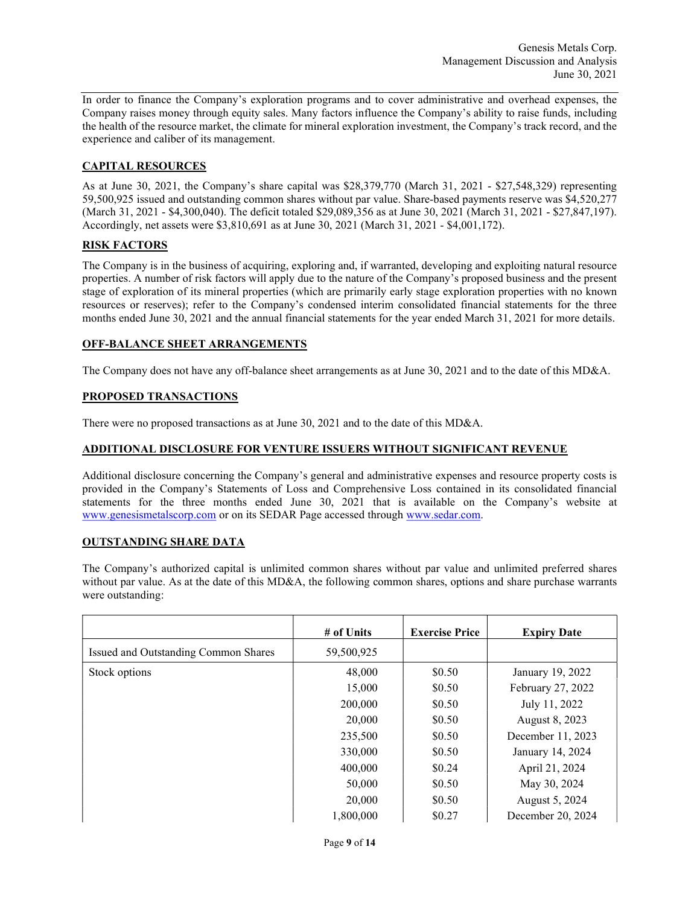In order to finance the Company's exploration programs and to cover administrative and overhead expenses, the Company raises money through equity sales. Many factors influence the Company's ability to raise funds, including the health of the resource market, the climate for mineral exploration investment, the Company's track record, and the experience and caliber of its management.

### CAPITAL RESOURCES

As at June 30, 2021, the Company's share capital was \$28,379,770 (March 31, 2021 - \$27,548,329) representing 59,500,925 issued and outstanding common shares without par value. Share-based payments reserve was \$4,520,277 (March 31, 2021 - \$4,300,040). The deficit totaled \$29,089,356 as at June 30, 2021 (March 31, 2021 - \$27,847,197). Accordingly, net assets were \$3,810,691 as at June 30, 2021 (March 31, 2021 - \$4,001,172).

## RISK FACTORS

The Company is in the business of acquiring, exploring and, if warranted, developing and exploiting natural resource properties. A number of risk factors will apply due to the nature of the Company's proposed business and the present stage of exploration of its mineral properties (which are primarily early stage exploration properties with no known resources or reserves); refer to the Company's condensed interim consolidated financial statements for the three months ended June 30, 2021 and the annual financial statements for the year ended March 31, 2021 for more details.

### OFF-BALANCE SHEET ARRANGEMENTS

The Company does not have any off-balance sheet arrangements as at June 30, 2021 and to the date of this MD&A.

### PROPOSED TRANSACTIONS

There were no proposed transactions as at June 30, 2021 and to the date of this MD&A.

### ADDITIONAL DISCLOSURE FOR VENTURE ISSUERS WITHOUT SIGNIFICANT REVENUE

Additional disclosure concerning the Company's general and administrative expenses and resource property costs is provided in the Company's Statements of Loss and Comprehensive Loss contained in its consolidated financial statements for the three months ended June 30, 2021 that is available on the Company's website at www.genesismetalscorp.com or on its SEDAR Page accessed through www.sedar.com.

#### OUTSTANDING SHARE DATA

The Company's authorized capital is unlimited common shares without par value and unlimited preferred shares without par value. As at the date of this MD&A, the following common shares, options and share purchase warrants were outstanding:

|                                      | # of Units | <b>Exercise Price</b> | <b>Expiry Date</b> |
|--------------------------------------|------------|-----------------------|--------------------|
| Issued and Outstanding Common Shares | 59,500,925 |                       |                    |
| Stock options                        | 48,000     | \$0.50                | January 19, 2022   |
|                                      | 15,000     | \$0.50                | February 27, 2022  |
|                                      | 200,000    | \$0.50                | July 11, 2022      |
|                                      | 20,000     | \$0.50                | August 8, 2023     |
|                                      | 235,500    | \$0.50                | December 11, 2023  |
|                                      | 330,000    | \$0.50                | January 14, 2024   |
|                                      | 400,000    | \$0.24                | April 21, 2024     |
|                                      | 50,000     | \$0.50                | May 30, 2024       |
|                                      | 20,000     | \$0.50                | August 5, 2024     |
|                                      | 1,800,000  | \$0.27                | December 20, 2024  |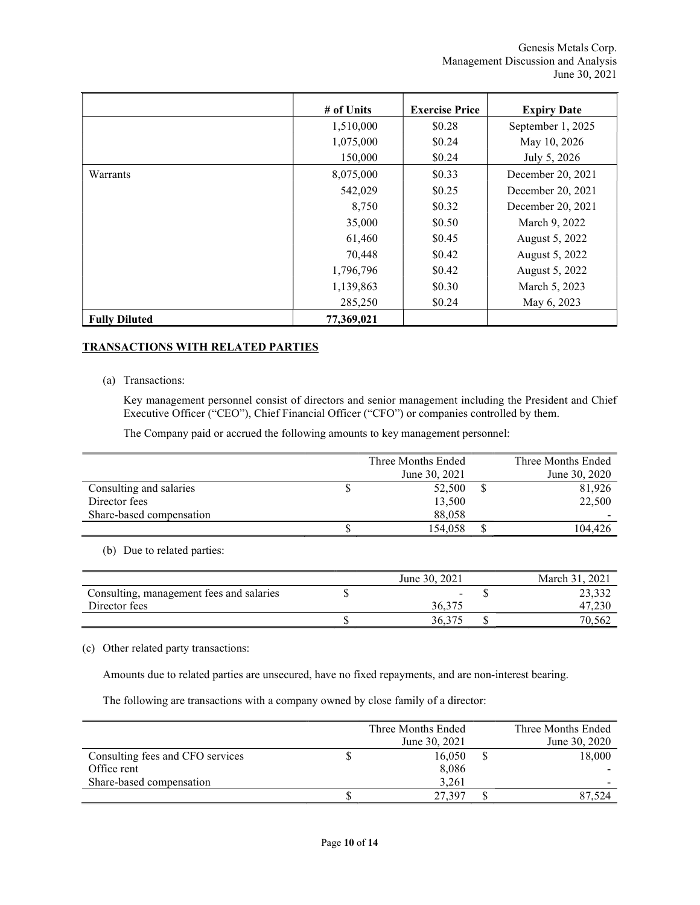|                      | # of Units | <b>Exercise Price</b> | <b>Expiry Date</b> |
|----------------------|------------|-----------------------|--------------------|
|                      | 1,510,000  | \$0.28                | September 1, 2025  |
|                      | 1,075,000  | \$0.24                | May 10, 2026       |
|                      | 150,000    | \$0.24                | July 5, 2026       |
| Warrants             | 8,075,000  | \$0.33                | December 20, 2021  |
|                      | 542,029    | \$0.25                | December 20, 2021  |
|                      | 8,750      | \$0.32                | December 20, 2021  |
|                      | 35,000     | \$0.50                | March 9, 2022      |
|                      | 61,460     | \$0.45                | August 5, 2022     |
|                      | 70,448     | \$0.42                | August 5, 2022     |
|                      | 1,796,796  | \$0.42                | August 5, 2022     |
|                      | 1,139,863  | \$0.30                | March 5, 2023      |
|                      | 285,250    | \$0.24                | May 6, 2023        |
| <b>Fully Diluted</b> | 77,369,021 |                       |                    |

### TRANSACTIONS WITH RELATED PARTIES

(a) Transactions:

Key management personnel consist of directors and senior management including the President and Chief Executive Officer ("CEO"), Chief Financial Officer ("CFO") or companies controlled by them.

The Company paid or accrued the following amounts to key management personnel:

|                          | Three Months Ended | Three Months Ended |
|--------------------------|--------------------|--------------------|
|                          | June 30, 2021      | June 30, 2020      |
| Consulting and salaries  | 52,500             | 81,926             |
| Director fees            | 13,500             | 22,500             |
| Share-based compensation | 88,058             |                    |
|                          | 154,058            | 104.426            |

(b) Due to related parties:

|                                          | June 30, 2021            | $-2021$<br>March 31. |
|------------------------------------------|--------------------------|----------------------|
| Consulting, management fees and salaries | $\overline{\phantom{0}}$ | 23,332               |
| Director fees                            | 36,375                   | 47,23                |
|                                          | 36.375                   | 70,562               |

(c) Other related party transactions:

Amounts due to related parties are unsecured, have no fixed repayments, and are non-interest bearing.

The following are transactions with a company owned by close family of a director:

|                                  | Three Months Ended | Three Months Ended |
|----------------------------------|--------------------|--------------------|
|                                  | June 30, 2021      | June 30, 2020      |
| Consulting fees and CFO services | 16.050             | \$<br>18,000       |
| Office rent                      | 8,086              |                    |
| Share-based compensation         | 3.261              |                    |
|                                  | 27.397             |                    |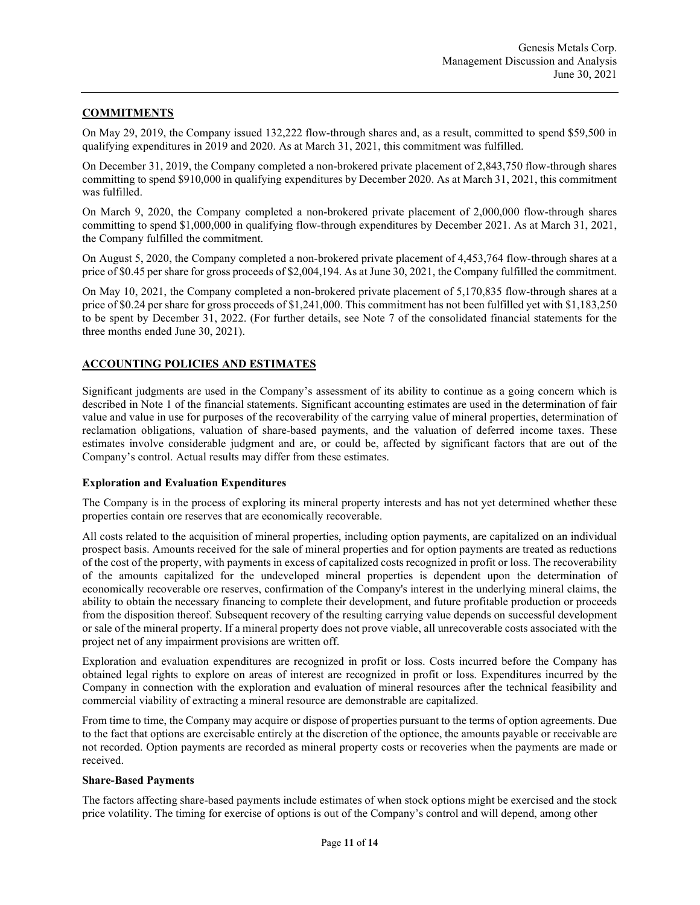# **COMMITMENTS**

On May 29, 2019, the Company issued 132,222 flow-through shares and, as a result, committed to spend \$59,500 in qualifying expenditures in 2019 and 2020. As at March 31, 2021, this commitment was fulfilled.

On December 31, 2019, the Company completed a non-brokered private placement of 2,843,750 flow-through shares committing to spend \$910,000 in qualifying expenditures by December 2020. As at March 31, 2021, this commitment was fulfilled.

On March 9, 2020, the Company completed a non-brokered private placement of 2,000,000 flow-through shares committing to spend \$1,000,000 in qualifying flow-through expenditures by December 2021. As at March 31, 2021, the Company fulfilled the commitment.

On August 5, 2020, the Company completed a non‐brokered private placement of 4,453,764 flow-through shares at a price of \$0.45 per share for gross proceeds of \$2,004,194. As at June 30, 2021, the Company fulfilled the commitment.

On May 10, 2021, the Company completed a non‐brokered private placement of 5,170,835 flow-through shares at a price of \$0.24 per share for gross proceeds of \$1,241,000. This commitment has not been fulfilled yet with \$1,183,250 to be spent by December 31, 2022. (For further details, see Note 7 of the consolidated financial statements for the three months ended June 30, 2021).

## ACCOUNTING POLICIES AND ESTIMATES

Significant judgments are used in the Company's assessment of its ability to continue as a going concern which is described in Note 1 of the financial statements. Significant accounting estimates are used in the determination of fair value and value in use for purposes of the recoverability of the carrying value of mineral properties, determination of reclamation obligations, valuation of share-based payments, and the valuation of deferred income taxes. These estimates involve considerable judgment and are, or could be, affected by significant factors that are out of the Company's control. Actual results may differ from these estimates.

#### Exploration and Evaluation Expenditures

The Company is in the process of exploring its mineral property interests and has not yet determined whether these properties contain ore reserves that are economically recoverable.

All costs related to the acquisition of mineral properties, including option payments, are capitalized on an individual prospect basis. Amounts received for the sale of mineral properties and for option payments are treated as reductions of the cost of the property, with payments in excess of capitalized costs recognized in profit or loss. The recoverability of the amounts capitalized for the undeveloped mineral properties is dependent upon the determination of economically recoverable ore reserves, confirmation of the Company's interest in the underlying mineral claims, the ability to obtain the necessary financing to complete their development, and future profitable production or proceeds from the disposition thereof. Subsequent recovery of the resulting carrying value depends on successful development or sale of the mineral property. If a mineral property does not prove viable, all unrecoverable costs associated with the project net of any impairment provisions are written off.

Exploration and evaluation expenditures are recognized in profit or loss. Costs incurred before the Company has obtained legal rights to explore on areas of interest are recognized in profit or loss. Expenditures incurred by the Company in connection with the exploration and evaluation of mineral resources after the technical feasibility and commercial viability of extracting a mineral resource are demonstrable are capitalized.

From time to time, the Company may acquire or dispose of properties pursuant to the terms of option agreements. Due to the fact that options are exercisable entirely at the discretion of the optionee, the amounts payable or receivable are not recorded. Option payments are recorded as mineral property costs or recoveries when the payments are made or received.

#### Share-Based Payments

The factors affecting share-based payments include estimates of when stock options might be exercised and the stock price volatility. The timing for exercise of options is out of the Company's control and will depend, among other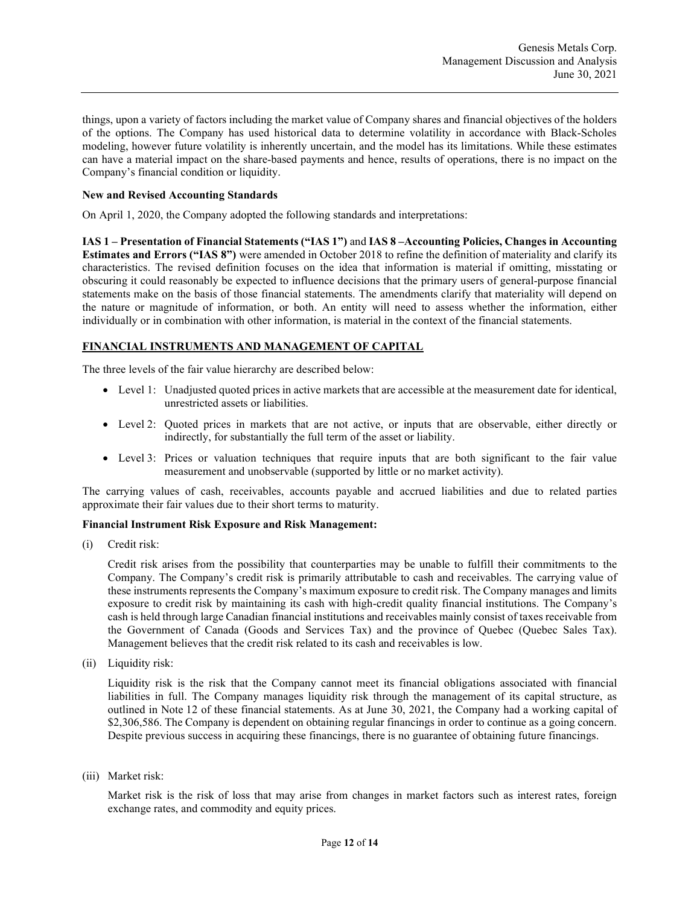things, upon a variety of factors including the market value of Company shares and financial objectives of the holders of the options. The Company has used historical data to determine volatility in accordance with Black-Scholes modeling, however future volatility is inherently uncertain, and the model has its limitations. While these estimates can have a material impact on the share-based payments and hence, results of operations, there is no impact on the Company's financial condition or liquidity.

### New and Revised Accounting Standards

On April 1, 2020, the Company adopted the following standards and interpretations:

IAS 1 – Presentation of Financial Statements ("IAS 1") and IAS 8 –Accounting Policies, Changes in Accounting Estimates and Errors ("IAS 8") were amended in October 2018 to refine the definition of materiality and clarify its characteristics. The revised definition focuses on the idea that information is material if omitting, misstating or obscuring it could reasonably be expected to influence decisions that the primary users of general-purpose financial statements make on the basis of those financial statements. The amendments clarify that materiality will depend on the nature or magnitude of information, or both. An entity will need to assess whether the information, either individually or in combination with other information, is material in the context of the financial statements.

#### FINANCIAL INSTRUMENTS AND MANAGEMENT OF CAPITAL

The three levels of the fair value hierarchy are described below:

- Level 1: Unadjusted quoted prices in active markets that are accessible at the measurement date for identical, unrestricted assets or liabilities.
- Level 2: Quoted prices in markets that are not active, or inputs that are observable, either directly or indirectly, for substantially the full term of the asset or liability.
- Level 3: Prices or valuation techniques that require inputs that are both significant to the fair value measurement and unobservable (supported by little or no market activity).

The carrying values of cash, receivables, accounts payable and accrued liabilities and due to related parties approximate their fair values due to their short terms to maturity.

#### Financial Instrument Risk Exposure and Risk Management:

(i) Credit risk:

Credit risk arises from the possibility that counterparties may be unable to fulfill their commitments to the Company. The Company's credit risk is primarily attributable to cash and receivables. The carrying value of these instruments represents the Company's maximum exposure to credit risk. The Company manages and limits exposure to credit risk by maintaining its cash with high-credit quality financial institutions. The Company's cash is held through large Canadian financial institutions and receivables mainly consist of taxes receivable from the Government of Canada (Goods and Services Tax) and the province of Quebec (Quebec Sales Tax). Management believes that the credit risk related to its cash and receivables is low.

(ii) Liquidity risk:

Liquidity risk is the risk that the Company cannot meet its financial obligations associated with financial liabilities in full. The Company manages liquidity risk through the management of its capital structure, as outlined in Note 12 of these financial statements. As at June 30, 2021, the Company had a working capital of \$2,306,586. The Company is dependent on obtaining regular financings in order to continue as a going concern. Despite previous success in acquiring these financings, there is no guarantee of obtaining future financings.

(iii) Market risk:

Market risk is the risk of loss that may arise from changes in market factors such as interest rates, foreign exchange rates, and commodity and equity prices.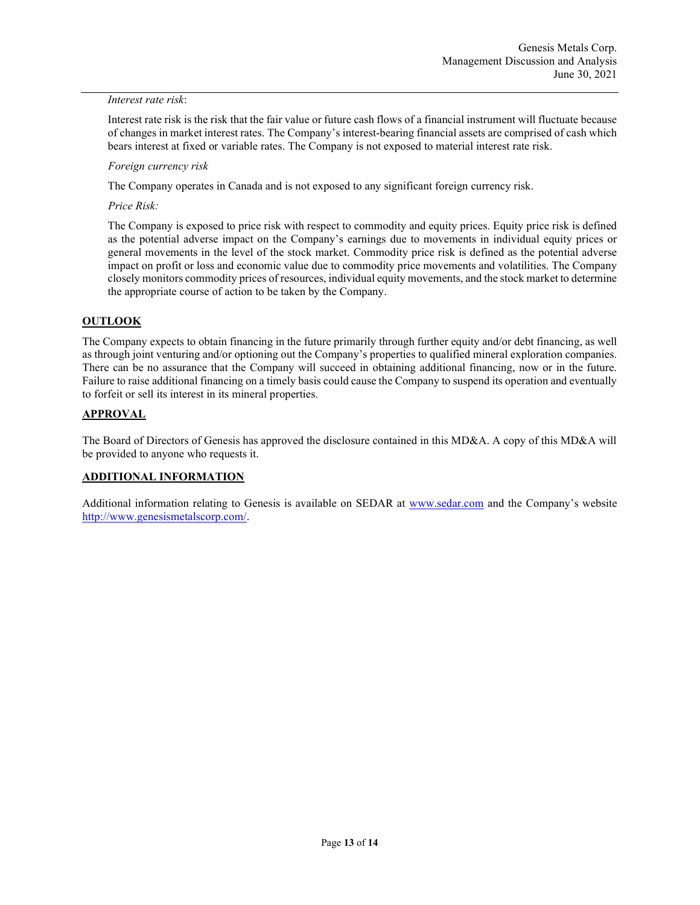### Interest rate risk:

Interest rate risk is the risk that the fair value or future cash flows of a financial instrument will fluctuate because of changes in market interest rates. The Company's interest-bearing financial assets are comprised of cash which bears interest at fixed or variable rates. The Company is not exposed to material interest rate risk.

## Foreign currency risk

The Company operates in Canada and is not exposed to any significant foreign currency risk.

Price Risk:

The Company is exposed to price risk with respect to commodity and equity prices. Equity price risk is defined as the potential adverse impact on the Company's earnings due to movements in individual equity prices or general movements in the level of the stock market. Commodity price risk is defined as the potential adverse impact on profit or loss and economic value due to commodity price movements and volatilities. The Company closely monitors commodity prices of resources, individual equity movements, and the stock market to determine the appropriate course of action to be taken by the Company.

# **OUTLOOK**

The Company expects to obtain financing in the future primarily through further equity and/or debt financing, as well as through joint venturing and/or optioning out the Company's properties to qualified mineral exploration companies. There can be no assurance that the Company will succeed in obtaining additional financing, now or in the future. Failure to raise additional financing on a timely basis could cause the Company to suspend its operation and eventually to forfeit or sell its interest in its mineral properties.

## **APPROVAL**

The Board of Directors of Genesis has approved the disclosure contained in this MD&A. A copy of this MD&A will be provided to anyone who requests it.

# ADDITIONAL INFORMATION

Additional information relating to Genesis is available on SEDAR at www.sedar.com and the Company's website http://www.genesismetalscorp.com/.